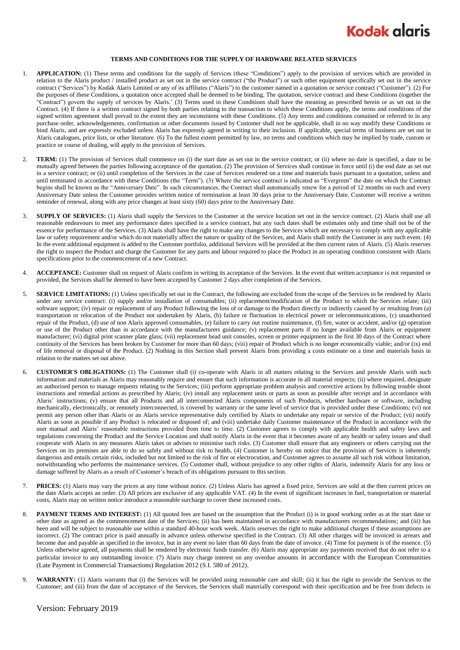

## **TERMS AND CONDITIONS FOR THE SUPPLY OF HARDWARE RELATED SERVICES**

- 1. **APPLICATION:** (1) These terms and conditions for the supply of Services (these "Conditions") apply to the provision of services which are provided in relation to the Alaris product / installed product as set out in the service contract ("the Product") or such other equipment specifically set out in the service contract ("Services") by Kodak Alaris Limited or any of its affiliates ("Alaris") to the customer named in a quotation or service contract ("Customer"). (2) For the purposes of these Conditions, a quotation once accepted shall be deemed to be binding. The quotation, service contract and these Conditions (together the "Contract") govern the supply of services by Alaris.' (3) Terms used in these Conditions shall have the meaning as prescribed herein or as set out in the Contract. (4) If there is a written contract signed by both parties relating to the transaction to which these Conditions apply, the terms and conditions of the signed written agreement shall prevail to the extent they are inconsistent with these Conditions. (5) Any terms and conditions contained or referred to in any purchase order, acknowledgements, confirmation or other documents issued by Customer shall not be applicable, shall in no way modify these Conditions or bind Alaris, and are expressly excluded unless Alaris has expressly agreed in writing to their inclusion. If applicable, special terms of business are set out in Alaris catalogues, price lists, or other literature. (6) To the fullest extent permitted by law, no terms and conditions which may be implied by trade, custom or practice or course of dealing, will apply to the provision of Services.
- 2. **TERM:** (1) The provision of Services shall commence on (i) the start date as set out in the service contract; or (ii) where no date is specified, a date to be mutually agreed between the parties following acceptance of the quotation. (2) The provision of Services shall continue in force until (i) the end date as set out in a service contract; or (ii) until completion of the Services in the case of Services rendered on a time and materials basis pursuant to a quotation, unless and until terminated in accordance with these Conditions (the "Term"). (3) Where the service contract is indicated as "Evergreen" the date on which the Contract begins shall be known as the "Anniversary Date". In such circumstances, the Contract shall automatically renew for a period of 12 months on each and every Anniversary Date unless the Customer provides written notice of termination at least 30 days prior to the Anniversary Date. Customer will receive a written reminder of renewal, along with any price changes at least sixty (60) days prior to the Anniversary Date.
- 3. **SUPPLY OF SERVICES:** (1) Alaris shall supply the Services to the Customer at the service location set out in the service contract. (2) Alaris shall use all reasonable endeavours to meet any performance dates specified in a service contract, but any such dates shall be estimates only and time shall not be of the essence for performance of the Services. (3) Alaris shall have the right to make any changes to the Services which are necessary to comply with any applicable law or safety requirement and/or which do not materially affect the nature or quality of the Services, and Alaris shall notify the Customer in any such event. (4) In the event additional equipment is added to the Customer portfolio, additional Services will be provided at the then current rates of Alaris. (5) Alaris reserves the right to inspect the Product and charge the Customer for any parts and labour required to place the Product in an operating condition consistent with Alaris specifications prior to the commencement of a new Contract.
- ACCEPTANCE: Customer shall on request of Alaris confirm in writing its acceptance of the Services. In the event that written acceptance is not requested or provided, the Services shall be deemed to have been accepted by Customer 2 days after completion of the Services.
- 5. **SERVICE LIMITATIONS:** (1) Unless specifically set out in the Contract, the following are excluded from the scope of the Services to be rendered by Alaris under any service contract: (i) supply and/or installation of consumables; (ii) replacement/modification of the Product to which the Services relate; (iii) software support; (iv) repair or replacement of any Product following the loss of or damage to the Product directly or indirectly caused by or resulting from (a) transportation or relocation of the Product not undertaken by Alaris, (b) failure or fluctuation in electrical power or telecommunications, (c) unauthorised repair of the Product, (d) use of non Alaris approved consumables, (e) failure to carry out routine maintenance, (f) fire, water or accident, and/or (g) operation or use of the Product other than in accordance with the manufacturers guidance; (v) replacement parts if no longer available from Alaris or equipment manufacturer; (vi) digital print scanner plate glass; (vii) replacement head unit consoles, screen or printer equipment in the first 30 days of the Contract where continuity of the Services has been broken by Customer for more than 60 days; (viii) repair of Product which is no longer economically viable; and/or (ix) end of life removal or disposal of the Product. (2) Nothing in this Section shall prevent Alaris from providing a costs estimate on a time and materials basis in relation to the matters set out above.
- <span id="page-0-0"></span>6. **CUSTOMER'S OBLIGATIONS:** (1) The Customer shall (i) co-operate with Alaris in all matters relating to the Services and provide Alaris with such information and materials as Alaris may reasonably require and ensure that such information is accurate in all material respects; (ii) where required, designate an authorised person to manage requests relating to the Services; (iii) perform appropriate problem analysis and corrective actions by following trouble shoot instructions and remedial actions as prescribed by Alaris; (iv) install any replacement units or parts as soon as possible after receipt and in accordance with Alaris' instructions; (v) ensure that all Products and all interconnected Alaris components of such Products, whether hardware or software, including mechanically, electronically, or remotely interconnected, is covered by warranty or the same level of service that is provided under these Conditions; (vi) not permit any person other than Alaris or an Alaris service representative duly certified by Alaris to undertake any repair or service of the Product; (vii) notify Alaris as soon as possible if any Product is relocated or disposed of; and (viii) undertake daily Customer maintenance of the Product in accordance with the user manual and Alaris' reasonable instructions provided from time to time. (2) Customer agrees to comply with applicable health and safety laws and regulations concerning the Product and the Service Location and shall notify Alaris in the event that it becomes aware of any health or safety issues and shall cooperate with Alaris in any measures Alaris takes or advises to minimise such risks. (3) Customer shall ensure that any engineers or others carrying out the Services on its premises are able to do so safely and without risk to health**.** (4) Customer is hereby on notice that the provision of Services is inherently dangerous and entails certain risks, included but not limited to the risk of fire or electrocution, and Customer agrees to assume all such risk without limitation, notwithstanding who performs the maintenance services. (5) Customer shall, without prejudice to any other rights of Alaris, indemnify Alaris for any loss or damage suffered by Alaris as a result of Customer's breach of its obligations pursuant to this section.
- 7. **PRICES:** (1) Alaris may vary the prices at any time without notice. (2) Unless Alaris has agreed a fixed price, Services are sold at the then current prices on the date Alaris accepts an order. (3) All prices are exclusive of any applicable VAT. (4) In the event of significant increases in fuel, transportation or material costs, Alaris may on written notice introduce a reasonable surcharge to cover these increased costs.
- 8. **PAYMENT TERMS AND INTEREST:** (1) All quoted fees are based on the assumption that the Product (i) is in good working order as at the start date or other date as agreed as the commencement date of the Services; (ii) has been maintained in accordance with manufacturers recommendations; and (iii) has been and will be subject to reasonable use within a standard 40-hour work week. Alaris reserves the right to make additional charges if these assumptions are incorrect. (2) The contract price is paid annually in advance unless otherwise specified in the Contract. (3) All other charges will be invoiced in arrears and become due and payable as specified in the invoice, but in any event no later than 60 days from the date of invoice. (4) Time for payment is of the essence. (5) Unless otherwise agreed, all payments shall be rendered by electronic funds transfer. (6) Alaris may appropriate any payments received that do not refer to a particular invoice to any outstanding invoice. (7) Alaris may charge interest on any overdue amounts in accordance with the European Communities (Late Payment in Commercial Transactions) Regulation 2012 (S.I. 580 of 2012).
- 9. **WARRANTY:** (1) Alaris warrants that (i) the Services will be provided using reasonable care and skill; (ii) it has the right to provide the Services to the Customer; and (iii) from the date of acceptance of the Services, the Services shall materially correspond with their specification and be free from defects in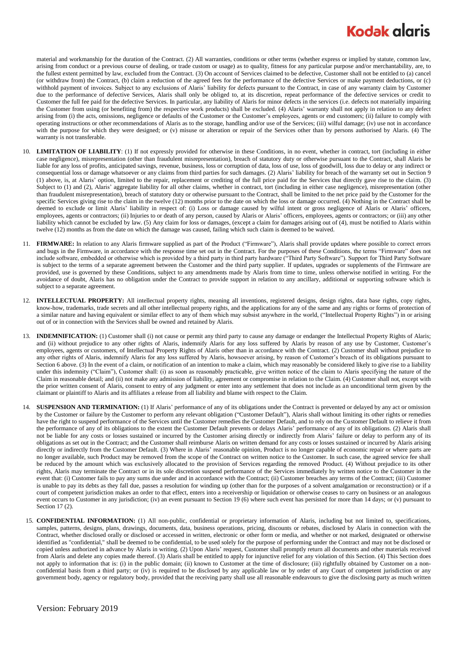## **Kodak glaris**

material and workmanship for the duration of the Contract. (2) All warranties, conditions or other terms (whether express or implied by statute, common law, arising from conduct or a previous course of dealing, or trade custom or usage) as to quality, fitness for any particular purpose and/or merchantability, are, to the fullest extent permitted by law, excluded from the Contract. (3) On account of Services claimed to be defective, Customer shall not be entitled to (a) cancel (or withdraw from) the Contract, (b) claim a reduction of the agreed fees for the performance of the defective Services or make payment deductions, or (c) withhold payment of invoices. Subject to any exclusions of Alaris' liability for defects pursuant to the Contract, in case of any warranty claim by Customer due to the performance of defective Services, Alaris shall only be obliged to, at its discretion, repeat performance of the defective services or credit to Customer the full fee paid for the defective Services. In particular, any liability of Alaris for minor defects in the services (i.e. defects not materially impairing the Customer from using (or benefiting from) the respective work products) shall be excluded. (4) Alaris' warranty shall not apply in relation to any defect arising from (i) the acts, omissions, negligence or defaults of the Customer or the Customer's employees, agents or end customers; (ii) failure to comply with operating instructions or other recommendations of Alaris as to the storage, handling and/or use of the Services; (iii) wilful damage; (iv) use not in accordance with the purpose for which they were designed; or (v) misuse or alteration or repair of the Services other than by persons authorised by Alaris. (4) The warranty is not transferable.

- 10. **LIMITATION OF LIABILITY**: (1) If not expressly provided for otherwise in these Conditions, in no event, whether in contract, tort (including in either case negligence), misrepresentation (other than fraudulent misrepresentation), breach of statutory duty or otherwise pursuant to the Contract, shall Alaris be liable for any loss of profits, anticipated savings, revenue, business, loss or corruption of data, loss of use, loss of goodwill, loss due to delay or any indirect or consequential loss or damage whatsoever or any claims from third parties for such damages. (2) Alaris' liability for breach of the warranty set out in Section 9 (1) above, is, at Alaris' option, limited to the repair, replacement or crediting of the full price paid for the Services that directly gave rise to the claim. (3) Subject to (1) and (2), Alaris' aggregate liability for all other claims, whether in contract, tort (including in either case negligence), misrepresentation (other than fraudulent misrepresentation), breach of statutory duty or otherwise pursuant to the Contract, shall be limited to the net price paid by the Customer for the specific Services giving rise to the claim in the twelve (12) months prior to the date on which the loss or damage occurred. (4) Nothing in the Contract shall be deemed to exclude or limit Alaris' liability in respect of: (i) Loss or damage caused by wilful intent or gross negligence of Alaris or Alaris' officers, employees, agents or contractors; (ii) Injuries to or death of any person, caused by Alaris or Alaris' officers, employees, agents or contractors; or (iii) any other liability which cannot be excluded by law. (5) Any claim for loss or damages, (except a claim for damages arising out of (4), must be notified to Alaris within twelve (12) months as from the date on which the damage was caused, failing which such claim is deemed to be waived.
- 11. **FIRMWARE:** In relation to any Alaris firmware supplied as part of the Product ("Firmware"), Alaris shall provide updates where possible to correct errors and bugs in the Firmware, in accordance with the response time set out in the Contract. For the purposes of these Conditions, the terms "Firmware" does not include software, embedded or otherwise which is provided by a third party in third party hardware ("Third Party Software"). Support for Third Party Software is subject to the terms of a separate agreement between the Customer and the third party supplier. If updates, upgrades or supplements of the Firmware are provided, use is governed by these Conditions, subject to any amendments made by Alaris from time to time, unless otherwise notified in writing. For the avoidance of doubt, Alaris has no obligation under the Contract to provide support in relation to any ancillary, additional or supporting software which is subject to a separate agreement.
- 12. **INTELLECTUAL PROPERTY:** All intellectual property rights, meaning all inventions, registered designs, design rights, data base rights, copy rights, know-how, trademarks, trade secrets and all other intellectual property rights, and the applications for any of the same and any rights or forms of protection of a similar nature and having equivalent or similar effect to any of them which may subsist anywhere in the world, ("Intellectual Property Rights") in or arising out of or in connection with the Services shall be owned and retained by Alaris.
- 13. **INDEMNIFICATION:** (1) Customer shall (i) not cause or permit any third party to cause any damage or endanger the Intellectual Property Rights of Alaris; and (ii) without prejudice to any other rights of Alaris, indemnify Alaris for any loss suffered by Alaris by reason of any use by Customer, Customer's employees, agents or customers, of Intellectual Property Rights of Alaris other than in accordance with the Contract. (2) Customer shall without prejudice to any other rights of Alaris, indemnify Alaris for any loss suffered by Alaris, howsoever arising, by reason of Customer's breach of its obligations pursuant to Sectio[n 6](#page-0-0) above. (3) In the event of a claim, or notification of an intention to make a claim, which may reasonably be considered likely to give rise to a liability under this indemnity ("Claim"), Customer shall: (i) as soon as reasonably practicable, give written notice of the claim to Alaris specifying the nature of the Claim in reasonable detail; and (ii) not make any admission of liability, agreement or compromise in relation to the Claim. (4) Customer shall not, except with the prior written consent of Alaris, consent to entry of any judgment or enter into any settlement that does not include as an unconditional term given by the claimant or plaintiff to Alaris and its affiliates a release from all liability and blame with respect to the Claim.
- **SUSPENSION AND TERMINATION:** (1) If Alaris' performance of any of its obligations under the Contract is prevented or delayed by any act or omission by the Customer or failure by the Customer to perform any relevant obligation ("Customer Default"), Alaris shall without limiting its other rights or remedies have the right to suspend performance of the Services until the Customer remedies the Customer Default, and to rely on the Customer Default to relieve it from the performance of any of its obligations to the extent the Customer Default prevents or delays Alaris' performance of any of its obligations. (2) Alaris shall not be liable for any costs or losses sustained or incurred by the Customer arising directly or indirectly from Alaris' failure or delay to perform any of its obligations as set out in the Contract; and the Customer shall reimburse Alaris on written demand for any costs or losses sustained or incurred by Alaris arising directly or indirectly from the Customer Default. (3) Where in Alaris' reasonable opinion, Product is no longer capable of economic repair or where parts are no longer available, such Product may be removed from the scope of the Contract on written notice to the Customer. In such case, the agreed service fee shall be reduced by the amount which was exclusively allocated to the provision of Services regarding the removed Product. (4) Without prejudice to its other rights, Alaris may terminate the Contract or in its sole discretion suspend performance of the Services immediately by written notice to the Customer in the event that: (i) Customer fails to pay any sums due under and in accordance with the Contract; (ii) Customer breaches any terms of the Contract; (iii) Customer is unable to pay its debts as they fall due, passes a resolution for winding up (other than for the purposes of a solvent amalgamation or reconstruction) or if a court of competent jurisdiction makes an order to that effect, enters into a receivership or liquidation or otherwise ceases to carry on business or an analogous event occurs to Customer in any jurisdiction; (iv) an event pursuant to Section 19 (6) where such event has persisted for more than 14 days; or (v) pursuant to Sectio[n 17](#page-2-0) (2).
- 15. **CONFIDENTIAL INFORMATION:** (1) All non-public, confidential or proprietary information of Alaris, including but not limited to, specifications, samples, patterns, designs, plans, drawings, documents, data, business operations, pricing, discounts or rebates, disclosed by Alaris in connection with the Contract, whether disclosed orally or disclosed or accessed in written, electronic or other form or media, and whether or not marked, designated or otherwise identified as "confidential," shall be deemed to be confidential, to be used solely for the purpose of performing under the Contract and may not be disclosed or copied unless authorized in advance by Alaris in writing. (2) Upon Alaris' request, Customer shall promptly return all documents and other materials received from Alaris and delete any copies made thereof. (3) Alaris shall be entitled to apply for injunctive relief for any violation of this Section. (4) This Section does not apply to information that is: (i) in the public domain; (ii) known to Customer at the time of disclosure; (iii) rightfully obtained by Customer on a nonconfidential basis from a third party; or (iv) is required to be disclosed by any applicable law or by order of any Court of competent jurisdiction or any government body, agency or regulatory body, provided that the receiving party shall use all reasonable endeavours to give the disclosing party as much written